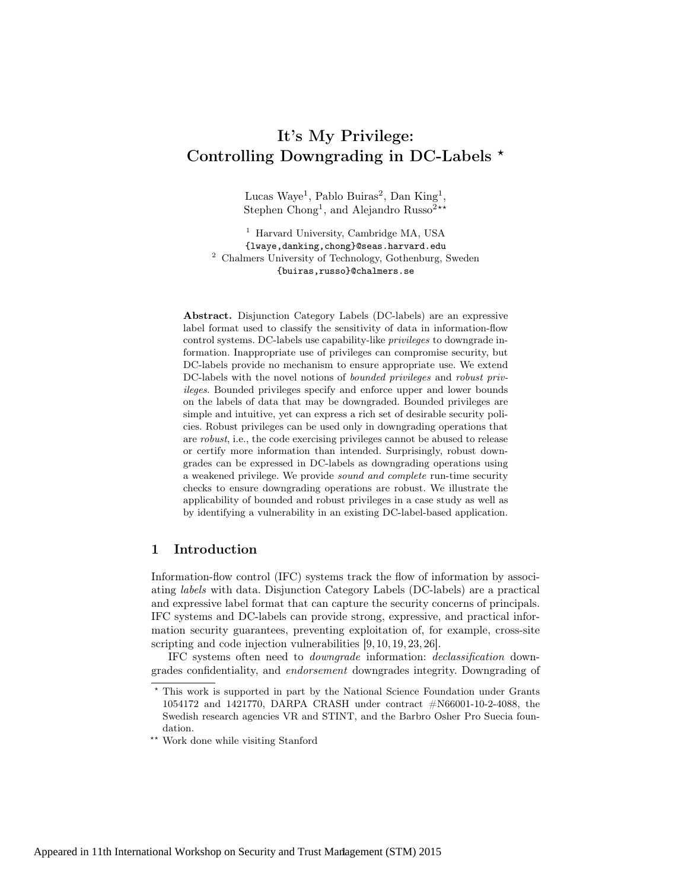# It's My Privilege: Controlling Downgrading in DC-Labels  $\star$

Lucas Waye<sup>1</sup>, Pablo Buiras<sup>2</sup>, Dan King<sup>1</sup>, Stephen Chong<sup>1</sup>, and Alejandro Russo<sup>2\*\*</sup>

<sup>1</sup> Harvard University, Cambridge MA, USA {lwaye,danking,chong}@seas.harvard.edu <sup>2</sup> Chalmers University of Technology, Gothenburg, Sweden {buiras,russo}@chalmers.se

Abstract. Disjunction Category Labels (DC-labels) are an expressive label format used to classify the sensitivity of data in information-flow control systems. DC-labels use capability-like *privileges* to downgrade information. Inappropriate use of privileges can compromise security, but DC-labels provide no mechanism to ensure appropriate use. We extend DC-labels with the novel notions of *bounded privileges* and *robust privileges*. Bounded privileges specify and enforce upper and lower bounds on the labels of data that may be downgraded. Bounded privileges are simple and intuitive, yet can express a rich set of desirable security policies. Robust privileges can be used only in downgrading operations that are *robust*, i.e., the code exercising privileges cannot be abused to release or certify more information than intended. Surprisingly, robust downgrades can be expressed in DC-labels as downgrading operations using a weakened privilege. We provide *sound and complete* run-time security checks to ensure downgrading operations are robust. We illustrate the applicability of bounded and robust privileges in a case study as well as by identifying a vulnerability in an existing DC-label-based application.

# 1 Introduction

Information-flow control (IFC) systems track the flow of information by associating *labels* with data. Disjunction Category Labels (DC-labels) are a practical and expressive label format that can capture the security concerns of principals. IFC systems and DC-labels can provide strong, expressive, and practical information security guarantees, preventing exploitation of, for example, cross-site scripting and code injection vulnerabilities [\[9,](#page-15-0) [10,](#page-15-1) [19,](#page-15-2) [23,](#page-15-3) [26\]](#page-15-4).

IFC systems often need to *downgrade* information: *declassification* downgrades confidentiality, and *endorsement* downgrades integrity. Downgrading of

<sup>?</sup> This work is supported in part by the National Science Foundation under Grants 1054172 and 1421770, DARPA CRASH under contract #N66001-10-2-4088, the Swedish research agencies VR and STINT, and the Barbro Osher Pro Suecia foundation.

<sup>\*\*</sup> Work done while visiting Stanford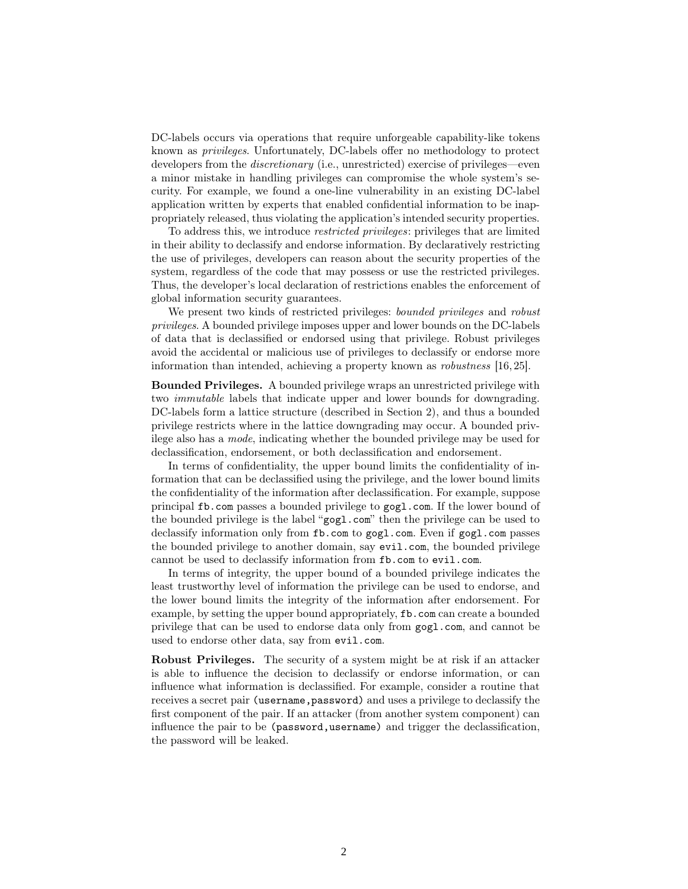DC-labels occurs via operations that require unforgeable capability-like tokens known as *privileges*. Unfortunately, DC-labels offer no methodology to protect developers from the *discretionary* (i.e., unrestricted) exercise of privileges—even a minor mistake in handling privileges can compromise the whole system's security. For example, we found a one-line vulnerability in an existing DC-label application written by experts that enabled confidential information to be inappropriately released, thus violating the application's intended security properties.

To address this, we introduce *restricted privileges*: privileges that are limited in their ability to declassify and endorse information. By declaratively restricting the use of privileges, developers can reason about the security properties of the system, regardless of the code that may possess or use the restricted privileges. Thus, the developer's local declaration of restrictions enables the enforcement of global information security guarantees.

We present two kinds of restricted privileges: *bounded privileges* and *robust privileges*. A bounded privilege imposes upper and lower bounds on the DC-labels of data that is declassified or endorsed using that privilege. Robust privileges avoid the accidental or malicious use of privileges to declassify or endorse more information than intended, achieving a property known as *robustness* [\[16,](#page-15-5) [25\]](#page-15-6).

Bounded Privileges. A bounded privilege wraps an unrestricted privilege with two *immutable* labels that indicate upper and lower bounds for downgrading. DC-labels form a lattice structure (described in Section [2\)](#page-2-0), and thus a bounded privilege restricts where in the lattice downgrading may occur. A bounded privilege also has a *mode*, indicating whether the bounded privilege may be used for declassification, endorsement, or both declassification and endorsement.

In terms of confidentiality, the upper bound limits the confidentiality of information that can be declassified using the privilege, and the lower bound limits the confidentiality of the information after declassification. For example, suppose principal fb.com passes a bounded privilege to gogl.com. If the lower bound of the bounded privilege is the label "gogl.com" then the privilege can be used to declassify information only from fb.com to gogl.com. Even if gogl.com passes the bounded privilege to another domain, say evil.com, the bounded privilege cannot be used to declassify information from fb.com to evil.com.

In terms of integrity, the upper bound of a bounded privilege indicates the least trustworthy level of information the privilege can be used to endorse, and the lower bound limits the integrity of the information after endorsement. For example, by setting the upper bound appropriately, fb.com can create a bounded privilege that can be used to endorse data only from gogl.com, and cannot be used to endorse other data, say from evil.com.

Robust Privileges. The security of a system might be at risk if an attacker is able to influence the decision to declassify or endorse information, or can influence what information is declassified. For example, consider a routine that receives a secret pair (username,password) and uses a privilege to declassify the first component of the pair. If an attacker (from another system component) can influence the pair to be (password,username) and trigger the declassification, the password will be leaked.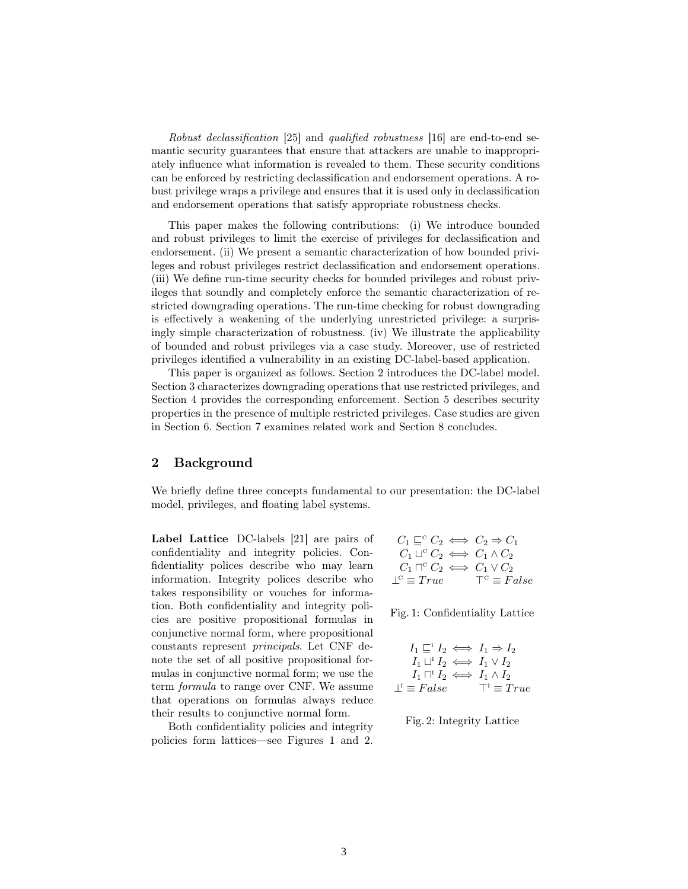*Robust declassification* [\[25\]](#page-15-6) and *qualified robustness* [\[16\]](#page-15-5) are end-to-end semantic security guarantees that ensure that attackers are unable to inappropriately influence what information is revealed to them. These security conditions can be enforced by restricting declassification and endorsement operations. A robust privilege wraps a privilege and ensures that it is used only in declassification and endorsement operations that satisfy appropriate robustness checks.

This paper makes the following contributions: (i) We introduce bounded and robust privileges to limit the exercise of privileges for declassification and endorsement. (ii) We present a semantic characterization of how bounded privileges and robust privileges restrict declassification and endorsement operations. (iii) We define run-time security checks for bounded privileges and robust privileges that soundly and completely enforce the semantic characterization of restricted downgrading operations. The run-time checking for robust downgrading is effectively a weakening of the underlying unrestricted privilege: a surprisingly simple characterization of robustness. (iv) We illustrate the applicability of bounded and robust privileges via a case study. Moreover, use of restricted privileges identified a vulnerability in an existing DC-label-based application.

This paper is organized as follows. Section [2](#page-2-0) introduces the DC-label model. Section [3](#page-4-0) characterizes downgrading operations that use restricted privileges, and Section [4](#page-7-0) provides the corresponding enforcement. Section [5](#page-9-0) describes security properties in the presence of multiple restricted privileges. Case studies are given in Section [6.](#page-11-0) Section [7](#page-13-0) examines related work and Section [8](#page-14-0) concludes.

# <span id="page-2-0"></span>2 Background

We briefly define three concepts fundamental to our presentation: the DC-label model, privileges, and floating label systems.

Label Lattice DC-labels [\[21\]](#page-15-7) are pairs of confidentiality and integrity policies. Confidentiality polices describe who may learn information. Integrity polices describe who takes responsibility or vouches for information. Both confidentiality and integrity policies are positive propositional formulas in conjunctive normal form, where propositional constants represent *principals*. Let CNF denote the set of all positive propositional formulas in conjunctive normal form; we use the term *formula* to range over CNF. We assume that operations on formulas always reduce their results to conjunctive normal form.

Both confidentiality policies and integrity policies form lattices—see Figures [1](#page-2-1) and [2.](#page-2-1)

<span id="page-2-1"></span>

| $C_1 \sqsubseteq^c C_2 \iff C_2 \Rightarrow C_1$ |                          |
|--------------------------------------------------|--------------------------|
| $C_1 \sqcup^{\circ} C_2 \iff C_1 \wedge C_2$     |                          |
| $C_1 \sqcap^c C_2 \iff C_1 \vee C_2$             |                          |
| $\perp^{c} \equiv True$                          | $T^{\rm c} \equiv False$ |
|                                                  |                          |

Fig. 1: Confidentiality Lattice

$$
I_1 \sqsubseteq I_2 \iff I_1 \Rightarrow I_2
$$
  
\n
$$
I_1 \sqcup I_2 \iff I_1 \lor I_2
$$
  
\n
$$
I_1 \sqcap I_2 \iff I_1 \land I_2
$$
  
\n
$$
\perp \equiv False \qquad \qquad \top^1 \equiv True
$$

Fig. 2: Integrity Lattice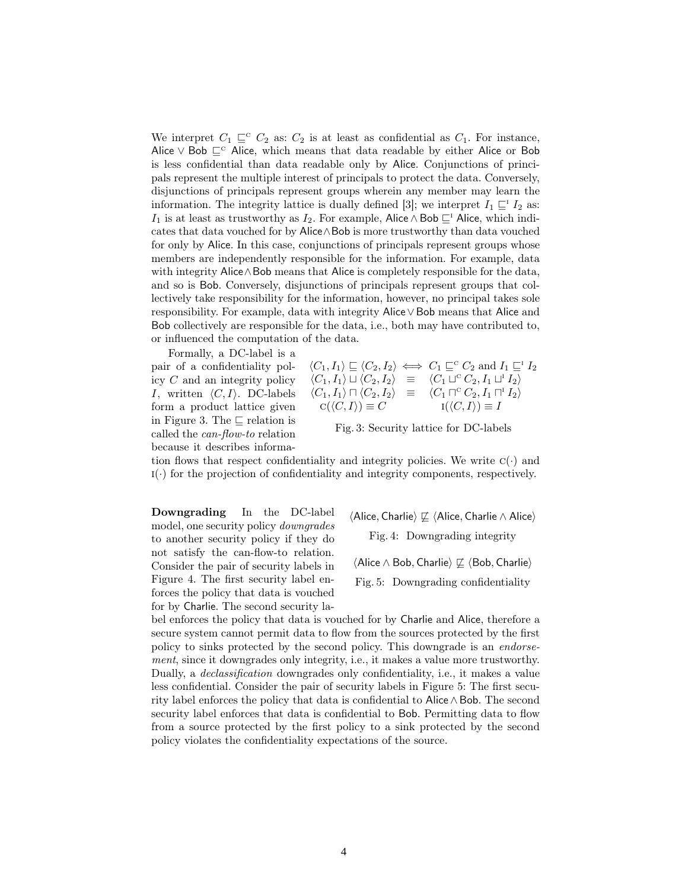We interpret  $C_1 \sqsubseteq^c C_2$  as:  $C_2$  is at least as confidential as  $C_1$ . For instance, Alice  $\vee$  Bob  $\sqsubseteq^c$  Alice, which means that data readable by either Alice or Bob is less confidential than data readable only by Alice. Conjunctions of principals represent the multiple interest of principals to protect the data. Conversely, disjunctions of principals represent groups wherein any member may learn the information. The integrity lattice is dually defined [\[3\]](#page-14-1); we interpret  $I_1 \sqsubseteq I_2$  as:  $I_1$  is at least as trustworthy as  $I_2$ . For example, Alice  $\wedge$  Bob  $\sqsubseteq$ <sup>1</sup> Alice, which indicates that data vouched for by  $\mathsf{Alice} \wedge \mathsf{Bob}$  is more trustworthy than data vouched for only by Alice. In this case, conjunctions of principals represent groups whose members are independently responsible for the information. For example, data with integrity  $\mathsf{Alice} \wedge \mathsf{Bob}$  means that  $\mathsf{Alice}$  is completely responsible for the data, and so is Bob. Conversely, disjunctions of principals represent groups that collectively take responsibility for the information, however, no principal takes sole responsibility. For example, data with integrity  $\mathsf{Alice} \vee \mathsf{Bob}$  means that  $\mathsf{Alice}$  and Bob collectively are responsible for the data, i.e., both may have contributed to, or influenced the computation of the data.

Formally, a DC-label is a pair of a confidentiality policy *C* and an integrity policy *I*, written  $\langle C, I \rangle$ . DC-labels form a product lattice given in Figure [3.](#page-3-0) The  $\sqsubseteq$  relation is called the *can-flow-to* relation because it describes informa-

<span id="page-3-0"></span>
$$
\langle C_1, I_1 \rangle \sqsubseteq \langle C_2, I_2 \rangle \iff C_1 \sqsubseteq^c C_2 \text{ and } I_1 \sqsubseteq^t I_2
$$
  

$$
\langle C_1, I_1 \rangle \sqcup \langle C_2, I_2 \rangle \equiv \langle C_1 \sqcup^c C_2, I_1 \sqcup^t I_2 \rangle
$$
  

$$
\langle C_1, I_1 \rangle \sqcap \langle C_2, I_2 \rangle \equiv \langle C_1 \sqcap^c C_2, I_1 \sqcap^t I_2 \rangle
$$
  

$$
\mathcal{C}(\langle C, I \rangle) \equiv C
$$
  

$$
\mathcal{I}(\langle C, I \rangle) \equiv I
$$

Fig. 3: Security lattice for DC-labels

tion flows that respect confidentiality and integrity policies. We write  $C(\cdot)$  and i(*·*) for the projection of confidentiality and integrity components, respectively.

Downgrading In the DC-label model, one security policy *downgrades* to another security policy if they do not satisfy the can-flow-to relation. Consider the pair of security labels in Figure [4.](#page-3-1) The first security label enforces the policy that data is vouched for by Charlie. The second security la-

<span id="page-3-1"></span> $\langle$  Alice, Charlie $\rangle \nsubseteq \langle$  Alice, Charlie  $\wedge$  Alice $\rangle$ Fig. 4: Downgrading integrity

 $\langle$  Alice  $\land$  Bob, Charlie $\rangle \not\sqsubset \langle$  Bob, Charlie $\rangle$ Fig. 5: Downgrading confidentiality

bel enforces the policy that data is vouched for by Charlie and Alice, therefore a secure system cannot permit data to flow from the sources protected by the first policy to sinks protected by the second policy. This downgrade is an *endorsement*, since it downgrades only integrity, i.e., it makes a value more trustworthy. Dually, a *declassification* downgrades only confidentiality, i.e., it makes a value less confidential. Consider the pair of security labels in Figure [5:](#page-3-1) The first security label enforces the policy that data is confidential to Alice $\wedge$ Bob. The second security label enforces that data is confidential to Bob. Permitting data to flow from a source protected by the first policy to a sink protected by the second policy violates the confidentiality expectations of the source.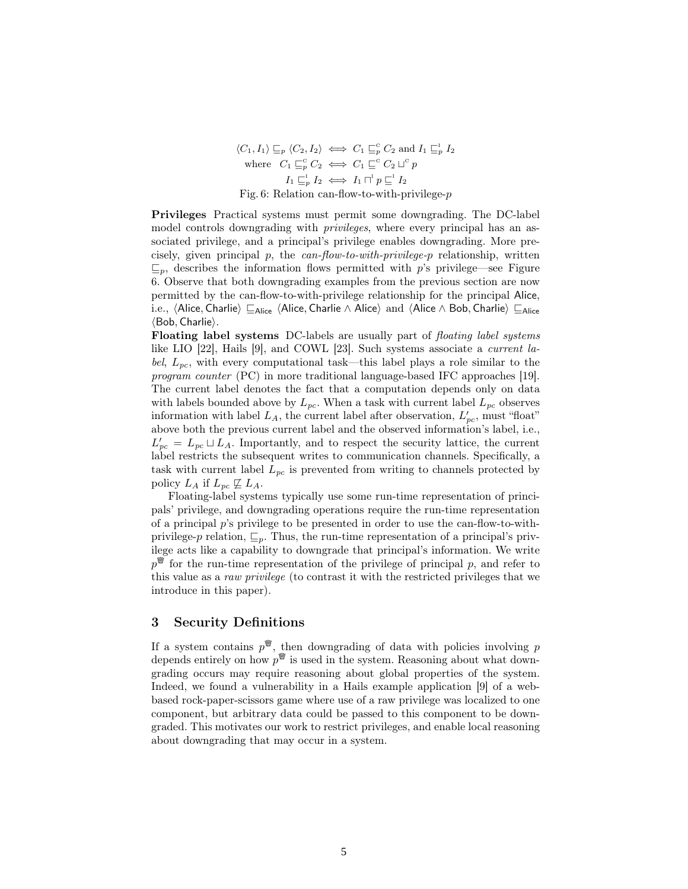<span id="page-4-1"></span> $\langle C_1, I_1 \rangle \sqsubseteq_p \langle C_2, I_2 \rangle \iff C_1 \sqsubseteq_p^c C_2 \text{ and } I_1 \sqsubseteq_p^I I_2$ where  $C_1 \sqsubseteq^{\mathcal{C}}_p C_2 \iff C_1 \sqsubseteq^{\mathcal{C}} C_2 \sqcup^{\mathcal{C}} p$  $I_1 \sqsubseteq^{\mathsf{I}}_p I_2 \iff I_1 \sqcap^{\mathsf{I}} p \sqsubseteq^{\mathsf{I}} I_2$ Fig. 6: Relation can-flow-to-with-privilege-*p*

Privileges Practical systems must permit some downgrading. The DC-label model controls downgrading with *privileges*, where every principal has an associated privilege, and a principal's privilege enables downgrading. More precisely, given principal *p*, the *can-flow-to-with-privilege-p* relationship, written  $\sqsubseteq_p$ , describes the information flows permitted with *p*'s privilege—see Figure [6.](#page-4-1) Observe that both downgrading examples from the previous section are now permitted by the can-flow-to-with-privilege relationship for the principal Alice, i.e.,  $\langle$  Alice, Charlie $\rangle \sqsubseteq_{Alice} \langle$  Alice, Charlie  $\land$  Alice $\rangle$  and  $\langle$  Alice  $\land$  Bob, Charlie $\rangle \sqsubseteq_{Alice}$  $\langle$ Bob, Charlie $\rangle$ .

Floating label systems DC-labels are usually part of *floating label systems* like LIO [\[22\]](#page-15-8), Hails [\[9\]](#page-15-0), and COWL [\[23\]](#page-15-3). Such systems associate a *current label*, *Lpc*, with every computational task—this label plays a role similar to the *program counter* (PC) in more traditional language-based IFC approaches [\[19\]](#page-15-2). The current label denotes the fact that a computation depends only on data with labels bounded above by  $L_{pc}$ . When a task with current label  $L_{pc}$  observes information with label  $L_A$ , the current label after observation,  $L'_{pc}$ , must "float" above both the previous current label and the observed information's label, i.e.,  $L'_{pc} = L_{pc} \sqcup L_A$ . Importantly, and to respect the security lattice, the current label restricts the subsequent writes to communication channels. Specifically, a task with current label  $L_{pc}$  is prevented from writing to channels protected by policy  $L_A$  if  $L_{pc} \not\sqsubseteq L_A$ .

Floating-label systems typically use some run-time representation of principals' privilege, and downgrading operations require the run-time representation of a principal *p*'s privilege to be presented in order to use the can-flow-to-withprivilege-*p* relation,  $\mathcal{L}_p$ . Thus, the run-time representation of a principal's privilege acts like a capability to downgrade that principal's information. We write  $p^{\mathscr{L}}$  for the run-time representation of the privilege of principal p, and refer to this value as a *raw privilege* (to contrast it with the restricted privileges that we introduce in this paper).

#### <span id="page-4-0"></span>3 Security Definitions

If a system contains  $p^{\mathfrak{B}}$ , then downgrading of data with policies involving p depends entirely on how  $p^{\mathscr{B}}$  is used in the system. Reasoning about what downgrading occurs may require reasoning about global properties of the system. Indeed, we found a vulnerability in a Hails example application [\[9\]](#page-15-0) of a webbased rock-paper-scissors game where use of a raw privilege was localized to one component, but arbitrary data could be passed to this component to be downgraded. This motivates our work to restrict privileges, and enable local reasoning about downgrading that may occur in a system.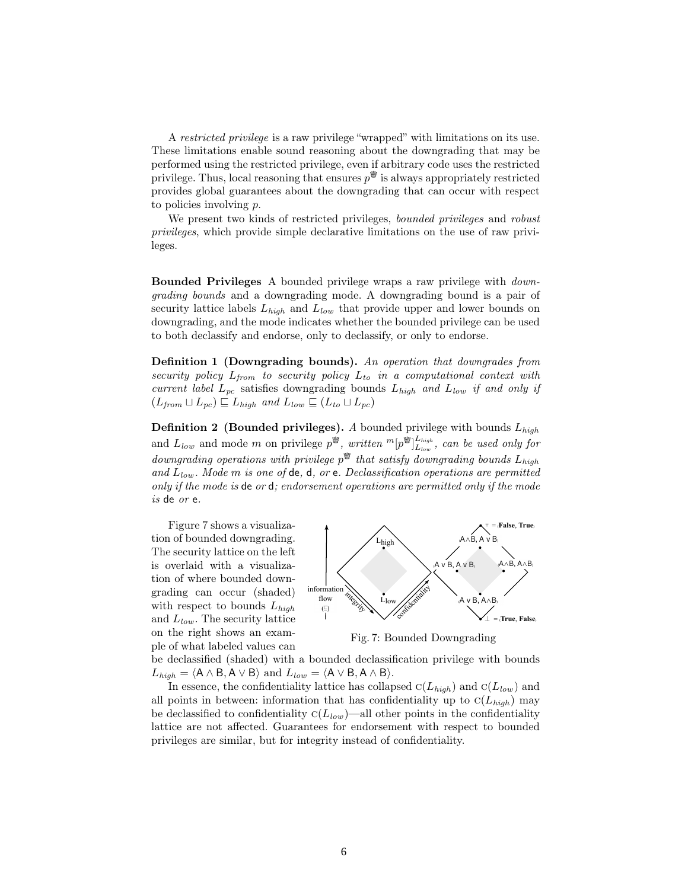A *restricted privilege* is a raw privilege "wrapped" with limitations on its use. These limitations enable sound reasoning about the downgrading that may be performed using the restricted privilege, even if arbitrary code uses the restricted privilege. Thus, local reasoning that ensures  $p^{\mathscr{L}}$  is always appropriately restricted provides global guarantees about the downgrading that can occur with respect to policies involving *p*.

We present two kinds of restricted privileges, *bounded privileges* and *robust privileges*, which provide simple declarative limitations on the use of raw privileges.

Bounded Privileges A bounded privilege wraps a raw privilege with *downgrading bounds* and a downgrading mode. A downgrading bound is a pair of security lattice labels *Lhigh* and *Llow* that provide upper and lower bounds on downgrading, and the mode indicates whether the bounded privilege can be used to both declassify and endorse, only to declassify, or only to endorse.

Definition 1 (Downgrading bounds). *An operation that downgrades from security policy Lfrom to security policy Lto in a computational context with current label Lpc* satisfies downgrading bounds *Lhigh and Llow if and only if*  $(L_{from} \sqcup L_{pc}) \sqsubseteq L_{high}$  and  $L_{low} \sqsubseteq (L_{to} \sqcup L_{pc})$ 

<span id="page-5-1"></span>Definition 2 (Bounded privileges). *A* bounded privilege with bounds *Lhigh* and  $L_{low}$  and mode *m* on privilege  $p^{\mathscr{B}}$ , written  $^m[p^{\mathscr{B}}]_{L_{low}}^{L_{high}}$ , can be used only for *downgrading operations with privilege*  $p^{\mathscr{B}}$  *that satisfy downgrading bounds*  $L_{high}$ *and Llow . Mode m is one of* de*,* d*, or* e*. Declassification operations are permitted only if the mode is* de *or* d*; endorsement operations are permitted only if the mode is* de *or* e*.*

Figure [7](#page-5-0) shows a visualization of bounded downgrading. The security lattice on the left is overlaid with a visualization of where bounded downgrading can occur (shaded) with respect to bounds *Lhigh* and *Llow* . The security lattice on the right shows an example of what labeled values can

<span id="page-5-0"></span>

Fig. 7: Bounded Downgrading

be declassified (shaded) with a bounded declassification privilege with bounds  $L_{high} = \langle A \wedge B, A \vee B \rangle$  and  $L_{low} = \langle A \vee B, A \wedge B \rangle$ .

In essence, the confidentiality lattice has collapsed  $C(L_{high})$  and  $C(L_{low})$  and all points in between: information that has confidentiality up to  $C(L_{hidh})$  may be declassified to confidentiality  $C(L_{low})$ —all other points in the confidentiality lattice are not affected. Guarantees for endorsement with respect to bounded privileges are similar, but for integrity instead of confidentiality.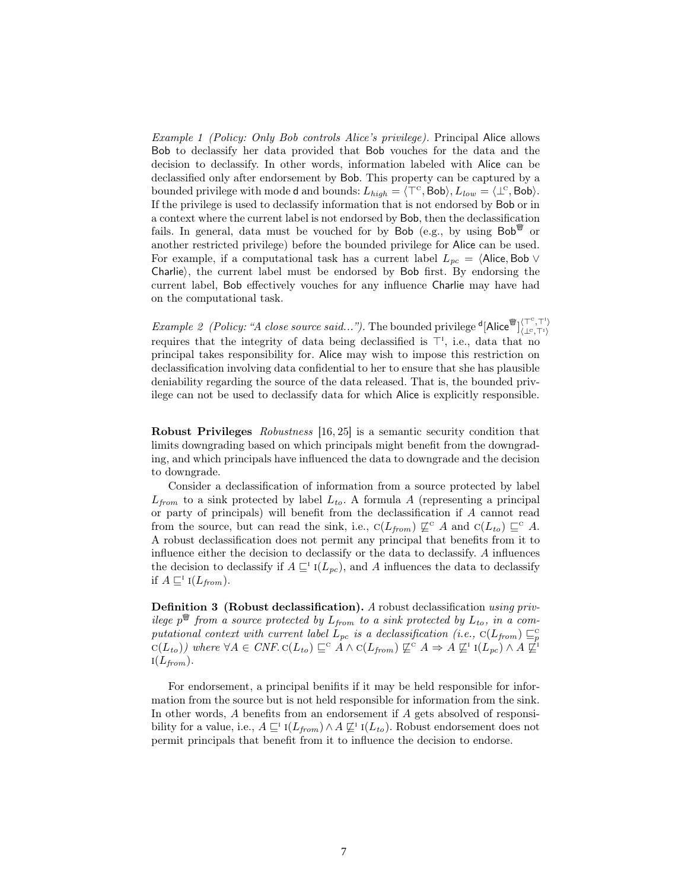*Example 1 (Policy: Only Bob controls Alice's privilege).* Principal Alice allows Bob to declassify her data provided that Bob vouches for the data and the decision to declassify. In other words, information labeled with Alice can be declassified only after endorsement by Bob. This property can be captured by a bounded privilege with mode **d** and bounds:  $L_{high} = \langle \top^c, \text{Bob} \rangle, L_{low} = \langle \bot^c, \text{Bob} \rangle.$ If the privilege is used to declassify information that is not endorsed by Bob or in a context where the current label is not endorsed by Bob, then the declassification fails. In general, data must be vouched for by Bob (e.g., by using  $\text{Bob}^{\mathscr{B}}$  or another restricted privilege) before the bounded privilege for Alice can be used. For example, if a computational task has a current label  $L_{pc} = \langle$ Alice, Bob  $\vee$ Charlie), the current label must be endorsed by Bob first. By endorsing the current label, Bob effectively vouches for any influence Charlie may have had on the computational task.

*Example 2 (Policy: "A close source said...").* The bounded privilege  $\mathbb{E}[\text{Alice}^{\mathbb{E}}]_{\{\perp^c,\top^i\}}^{\{\top^c,\top^i\}}$ requires that the integrity of data being declassified is  $\top$ <sup>1</sup>, i.e., data that no principal takes responsibility for. Alice may wish to impose this restriction on declassification involving data confidential to her to ensure that she has plausible deniability regarding the source of the data released. That is, the bounded privilege can not be used to declassify data for which Alice is explicitly responsible.

Robust Privileges *Robustness* [\[16,](#page-15-5) [25\]](#page-15-6) is a semantic security condition that limits downgrading based on which principals might benefit from the downgrading, and which principals have influenced the data to downgrade and the decision to downgrade.

Consider a declassification of information from a source protected by label  $L_{from}$  to a sink protected by label  $L_{to}$ . A formula *A* (representing a principal or party of principals) will benefit from the declassification if *A* cannot read from the source, but can read the sink, i.e.,  $C(L_{from}) \not\sqsubseteq^c A$  and  $C(L_{to}) \sqsubseteq^c A$ . A robust declassification does not permit any principal that benefits from it to influence either the decision to declassify or the data to declassify. *A* influences the decision to declassify if  $A \sqsubseteq \mathcal{I}(L_{pc})$ , and *A* influences the data to declassify if  $A \sqsubseteq^{\mathfrak{I}}$   $(I_{from})$ .

<span id="page-6-0"></span>Definition 3 (Robust declassification). *A* robust declassification *using privilege*  $p^{\mathscr{B}}$  *from a source protected by*  $L_{from}$  *to a sink protected by*  $L_{to}$ *, in a com*putational context with current label  $L_{pc}$  is a declassification (i.e.,  $C(L_{from}) \sqsubseteq_{p}^{C} C(L_{to})$ ) where  $\forall A \in CNF$ .  $C(L_{to}) \sqsubseteq^{C} A \wedge C(L_{from}) \not\sqsubseteq^{C} A \Rightarrow A \not\sqsubseteq^{1} I(L_{pc}) \wedge A \not\sqsubseteq^{1}$  $I(L_{from})$ .

<span id="page-6-1"></span>For endorsement, a principal benifits if it may be held responsible for information from the source but is not held responsible for information from the sink. In other words, *A* benefits from an endorsement if *A* gets absolved of responsibility for a value, i.e.,  $A \sqsubseteq^{\mathfrak{r}} I(L_{from}) \wedge A \not\sqsubseteq^{\mathfrak{r}} I(L_{to})$ . Robust endorsement does not permit principals that benefit from it to influence the decision to endorse.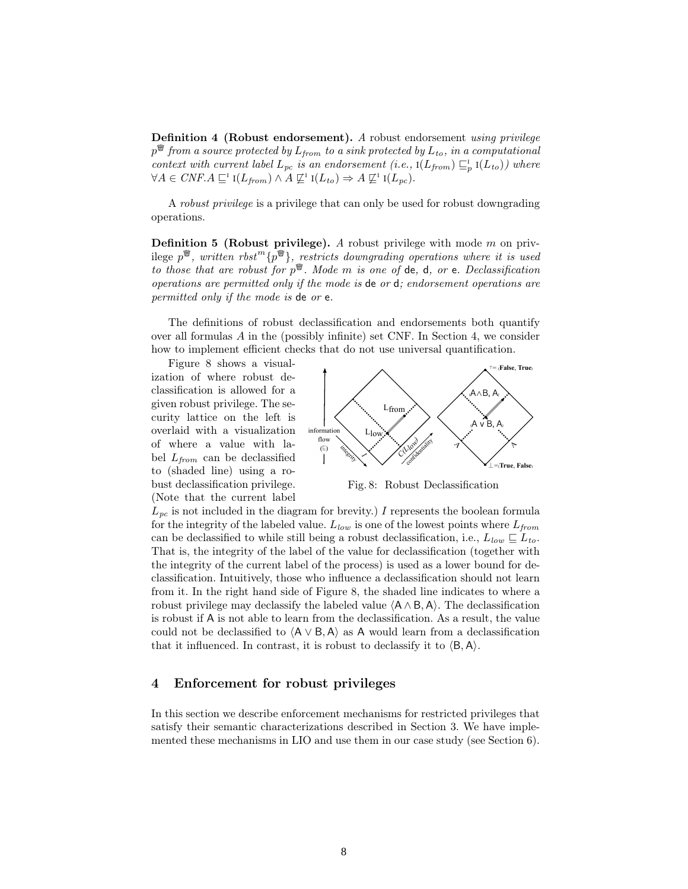Definition 4 (Robust endorsement). *A* robust endorsement *using privilege*  $p^{\mathscr{B}}$  *from a source protected by*  $L_{from}$  *to a sink protected by*  $L_{to}$ *, in a computational context with current label*  $L_{pc}$  *is an endorsement (i.e.,*  $I(L_{from}) \sqsubseteq_{p}^{I} I(L_{to})$ ) where  $\forall A \in CNF.A \sqsubseteq^{\text{I}} I(L_{from}) \land A \not\sqsubseteq^{\text{I}} I(L_{to}) \Rightarrow A \not\sqsubseteq^{\text{I}} I(L_{pc}).$ 

A *robust privilege* is a privilege that can only be used for robust downgrading operations.

<span id="page-7-2"></span>Definition 5 (Robust privilege). *A* robust privilege with mode *m* on privilege  $p^{\mathscr{B}}$ , written *rbst*<sup>*m*</sup>{ $p^{\mathscr{B}}$ }, restricts downgrading operations where it is used *to those that are robust for p*Q*. Mode m is one of* de*,* d*, or* e*. Declassification operations are permitted only if the mode is* de *or* d*; endorsement operations are permitted only if the mode is* de *or* e*.*

The definitions of robust declassification and endorsements both quantify over all formulas *A* in the (possibly infinite) set CNF. In Section [4,](#page-7-0) we consider how to implement efficient checks that do not use universal quantification.

Figure [8](#page-7-1) shows a visualization of where robust declassification is allowed for a given robust privilege. The security lattice on the left is overlaid with a visualization of where a value with label *Lfrom* can be declassified to (shaded line) using a robust declassification privilege. (Note that the current label

<span id="page-7-1"></span>

Fig. 8: Robust Declassification

 $L_{pc}$  is not included in the diagram for brevity.) *I* represents the boolean formula for the integrity of the labeled value. *Llow* is one of the lowest points where *Lfrom* can be declassified to while still being a robust declassification, i.e.,  $L_{low} \sqsubseteq L_{to}$ . That is, the integrity of the label of the value for declassification (together with the integrity of the current label of the process) is used as a lower bound for declassification. Intuitively, those who influence a declassification should not learn from it. In the right hand side of Figure [8,](#page-7-1) the shaded line indicates to where a robust privilege may declassify the labeled value  $\langle A \wedge B, A \rangle$ . The declassification is robust if A is not able to learn from the declassification. As a result, the value could not be declassified to  $\langle A \vee B, A \rangle$  as A would learn from a declassification that it influenced. In contrast, it is robust to declassify it to  $\langle B, A \rangle$ .

#### <span id="page-7-0"></span>4 Enforcement for robust privileges

In this section we describe enforcement mechanisms for restricted privileges that satisfy their semantic characterizations described in Section [3.](#page-4-0) We have implemented these mechanisms in LIO and use them in our case study (see Section [6\)](#page-11-0).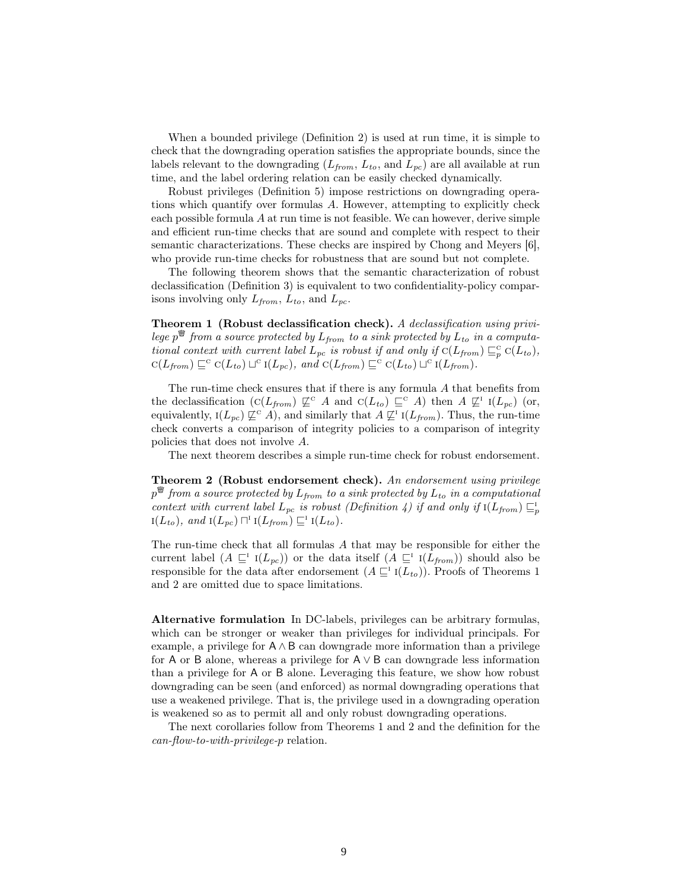When a bounded privilege (Definition [2\)](#page-5-1) is used at run time, it is simple to check that the downgrading operation satisfies the appropriate bounds, since the labels relevant to the downgrading (*Lfrom*, *Lto*, and *Lpc*) are all available at run time, and the label ordering relation can be easily checked dynamically.

Robust privileges (Definition [5\)](#page-7-2) impose restrictions on downgrading operations which quantify over formulas *A*. However, attempting to explicitly check each possible formula *A* at run time is not feasible. We can however, derive simple and efficient run-time checks that are sound and complete with respect to their semantic characterizations. These checks are inspired by Chong and Meyers [\[6\]](#page-14-2), who provide run-time checks for robustness that are sound but not complete.

The following theorem shows that the semantic characterization of robust declassification (Definition [3\)](#page-6-0) is equivalent to two confidentiality-policy comparisons involving only *Lfrom*, *Lto*, and *Lpc*.

<span id="page-8-0"></span>Theorem 1 (Robust declassification check). *A declassification using privilege*  $p^{\mathscr{B}}$  *from a source protected by*  $L_{from}$  *to a sink protected by*  $L_{to}$  *in a computational context with current label*  $L_{pc}$  *is robust if and only if*  $C(L_{from}) \sqsubseteq_{p}^{c} C(L_{to})$ *,*  $c(L_{from}) \sqsubseteq^c c(L_{to}) \sqcup^c I(L_{pc}), \text{ and } c(L_{from}) \sqsubseteq^c c(L_{to}) \sqcup^c I(L_{from}).$ 

The run-time check ensures that if there is any formula *A* that benefits from the declassification  $(c(L_{from}) \not\sqsubseteq^c A$  and  $c(L_{to}) \sqsubseteq^c A)$  then  $A \not\sqsubseteq^1 I(L_{pc})$  (or, equivalently,  $I(L_{pc}) \not\subseteq C^{\circ} A$ , and similarly that  $A \not\subseteq I(L_{from})$ . Thus, the run-time check converts a comparison of integrity policies to a comparison of integrity policies that does not involve *A*.

The next theorem describes a simple run-time check for robust endorsement.

<span id="page-8-1"></span>Theorem 2 (Robust endorsement check). *An endorsement using privilege*  $p^{\mathscr{L}}$  *from a source protected by*  $L_{from}$  *to a sink protected by*  $L_{to}$  *in a computational context with current label*  $L_{pc}$  *is robust (Definition [4\)](#page-6-1) if and only if*  $I(L_{from}) \sqsubseteq_{p}$  $I(L_{to})$ *, and*  $I(L_{pc}) \sqcap I (L_{from}) \sqsubseteq I (L_{to})$ *.* 

The run-time check that all formulas *A* that may be responsible for either the current label  $(A \sqsubseteq^{\mathfrak{r}} I(L_{pc}))$  or the data itself  $(A \sqsubseteq^{\mathfrak{r}} I(L_{from}))$  should also be responsible for the data after endorsement  $(A \sqsubseteq^{\mathsf{I}} I(L_{to}))$ . Proofs of Theorems [1](#page-8-0) and [2](#page-8-1) are omitted due to space limitations.

Alternative formulation In DC-labels, privileges can be arbitrary formulas, which can be stronger or weaker than privileges for individual principals. For example, a privilege for  $A \wedge B$  can downgrade more information than a privilege for A or B alone, whereas a privilege for  $A \vee B$  can downgrade less information than a privilege for A or B alone. Leveraging this feature, we show how robust downgrading can be seen (and enforced) as normal downgrading operations that use a weakened privilege. That is, the privilege used in a downgrading operation is weakened so as to permit all and only robust downgrading operations.

<span id="page-8-2"></span>The next corollaries follow from Theorems [1](#page-8-0) and [2](#page-8-1) and the definition for the *can-flow-to-with-privilege-p* relation.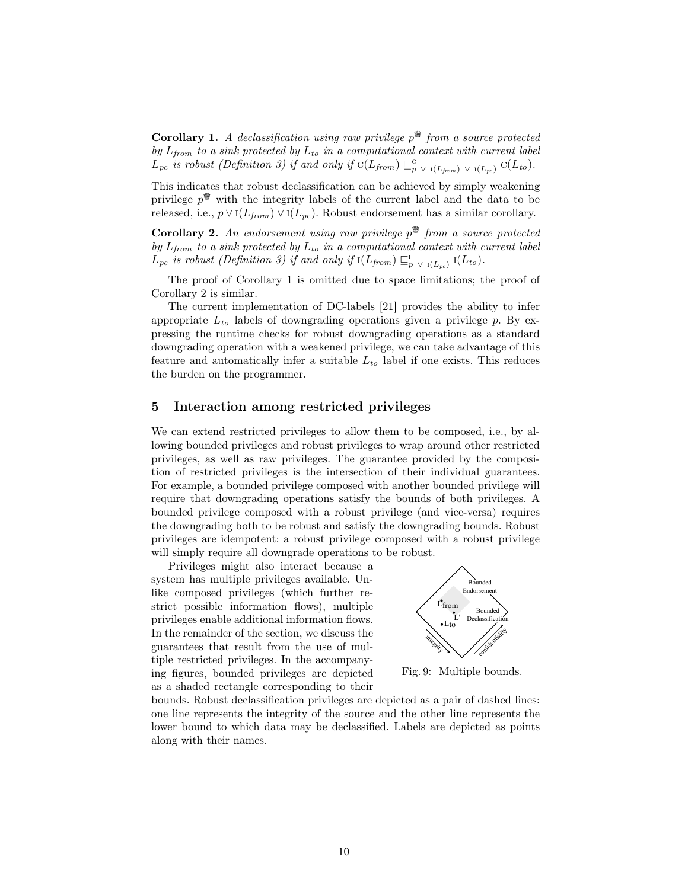**Corollary 1.** *A declassification using raw privilege*  $p^{\mathscr{B}}$  *from a source protected by Lfrom to a sink protected by Lto in a computational context with current label*  $L_{pc}$  *is robust (Definition 3) if and only if*  $C(L_{from}) \sqsubseteq_{p}^C$   $\vee$   $I(L_{from}) \vee I(L_{pc}) C(L_{to})$ *.* 

This indicates that robust declassification can be achieved by simply weakening privilege  $p^{\mathscr{L}}$  with the integrity labels of the current label and the data to be released, i.e.,  $p \vee i(L_{from}) \vee i(L_{nc})$ . Robust endorsement has a similar corollary.

**Corollary 2.** An endorsement using raw privilege  $p^{\mathcal{Q}}$  from a source protected *by Lfrom to a sink protected by Lto in a computational context with current label*  $L_{pc}$  *is robust (Definition 3) if and only if*  $I(L_{from}) \sqsubseteq_{p}^I {}_{\vee} I(L_{pc}) I(L_{to})$ *.* 

The proof of Corollary [1](#page-8-2) is omitted due to space limitations; the proof of Corollary [2](#page-9-1) is similar.

The current implementation of DC-labels [\[21\]](#page-15-7) provides the ability to infer appropriate *Lto* labels of downgrading operations given a privilege *p*. By expressing the runtime checks for robust downgrading operations as a standard downgrading operation with a weakened privilege, we can take advantage of this feature and automatically infer a suitable *Lto* label if one exists. This reduces the burden on the programmer.

# <span id="page-9-0"></span>5 Interaction among restricted privileges

We can extend restricted privileges to allow them to be composed, i.e., by allowing bounded privileges and robust privileges to wrap around other restricted privileges, as well as raw privileges. The guarantee provided by the composition of restricted privileges is the intersection of their individual guarantees. For example, a bounded privilege composed with another bounded privilege will require that downgrading operations satisfy the bounds of both privileges. A bounded privilege composed with a robust privilege (and vice-versa) requires the downgrading both to be robust and satisfy the downgrading bounds. Robust privileges are idempotent: a robust privilege composed with a robust privilege will simply require all downgrade operations to be robust.

Privileges might also interact because a system has multiple privileges available. Unlike composed privileges (which further restrict possible information flows), multiple privileges enable additional information flows. In the remainder of the section, we discuss the guarantees that result from the use of multiple restricted privileges. In the accompanying figures, bounded privileges are depicted as a shaded rectangle corresponding to their

<span id="page-9-2"></span><span id="page-9-1"></span>

Fig. 9: Multiple bounds.

bounds. Robust declassification privileges are depicted as a pair of dashed lines: one line represents the integrity of the source and the other line represents the lower bound to which data may be declassified. Labels are depicted as points along with their names.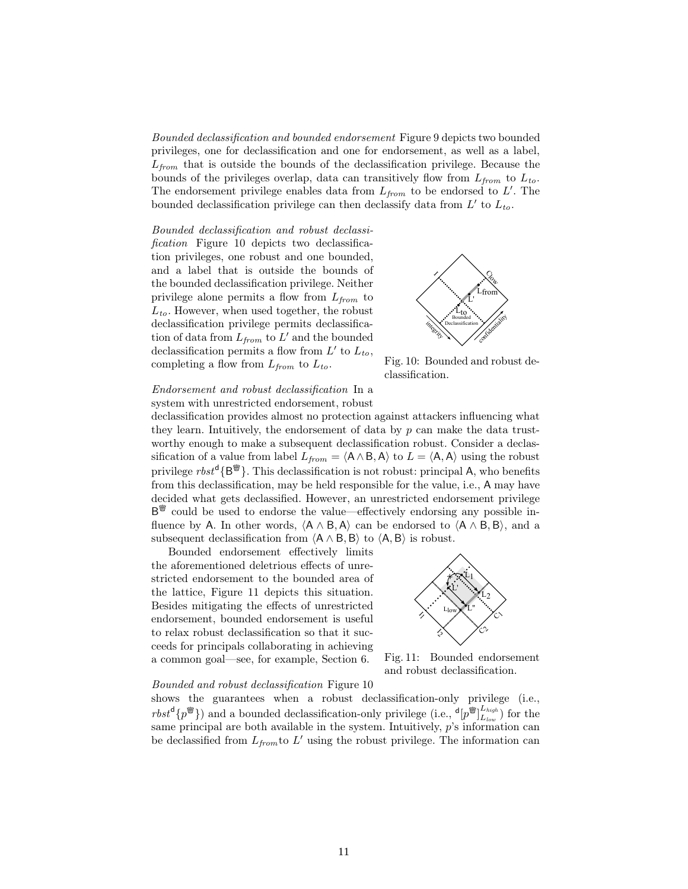*Bounded declassification and bounded endorsement* Figure [9](#page-9-2) depicts two bounded privileges, one for declassification and one for endorsement, as well as a label, *Lfrom* that is outside the bounds of the declassification privilege. Because the bounds of the privileges overlap, data can transitively flow from *Lfrom* to *Lto*. The endorsement privilege enables data from  $L_{from}$  to be endorsed to  $L'$ . The bounded declassification privilege can then declassify data from  $L'$  to  $L_{to}$ .

*Bounded declassification and robust declassification* Figure [10](#page-10-0) depicts two declassification privileges, one robust and one bounded, and a label that is outside the bounds of the bounded declassification privilege. Neither privilege alone permits a flow from *Lfrom* to *Lto*. However, when used together, the robust declassification privilege permits declassification of data from  $L_{from}$  to  $L'$  and the bounded declassification permits a flow from  $L'$  to  $L_{to}$ , completing a flow from *Lfrom* to *Lto*.

<span id="page-10-0"></span>

Fig. 10: Bounded and robust declassification.

*Endorsement and robust declassification* In a system with unrestricted endorsement, robust

declassification provides almost no protection against attackers influencing what they learn. Intuitively, the endorsement of data by *p* can make the data trustworthy enough to make a subsequent declassification robust. Consider a declassification of a value from label  $L_{from} = \langle A \wedge B, A \rangle$  to  $L = \langle A, A \rangle$  using the robust privilege  $rbst^d{B}$ . This declassification is not robust: principal A, who benefits from this declassification, may be held responsible for the value, i.e., A may have decided what gets declassified. However, an unrestricted endorsement privilege  $\mathsf{B}^{\mathscr{B}}$  could be used to endorse the value—effectively endorsing any possible influence by A. In other words,  $\langle A \wedge B, A \rangle$  can be endorsed to  $\langle A \wedge B, B \rangle$ , and a subsequent declassification from  $\langle A \wedge B, B \rangle$  to  $\langle A, B \rangle$  is robust.

Bounded endorsement effectively limits the aforementioned deletrious effects of unrestricted endorsement to the bounded area of the lattice, Figure [11](#page-10-1) depicts this situation. Besides mitigating the effects of unrestricted endorsement, bounded endorsement is useful to relax robust declassification so that it succeeds for principals collaborating in achieving a common goal—see, for example, Section [6.](#page-11-0)

#### <span id="page-10-1"></span>Llow  $L_1$  $L_2$ s  $\hat{\diamond}$  $\heartsuit$ ′c L'' L'

Fig. 11: Bounded endorsement and robust declassification.

#### *Bounded and robust declassification* Figure [10](#page-10-0)

shows the guarantees when a robust declassification-only privilege (i.e.,  $rbst^d\{p^{\mathscr{W}}\}\}\)$  and a bounded declassification-only privilege (i.e.,  $\binom{d}{p^{\mathscr{W}}}\big|_{L_{low}}^{L_{high}}$ ) for the same principal are both available in the system. Intuitively,  $p$ 's information can be declassified from  $L_{from}$  to  $L'$  using the robust privilege. The information can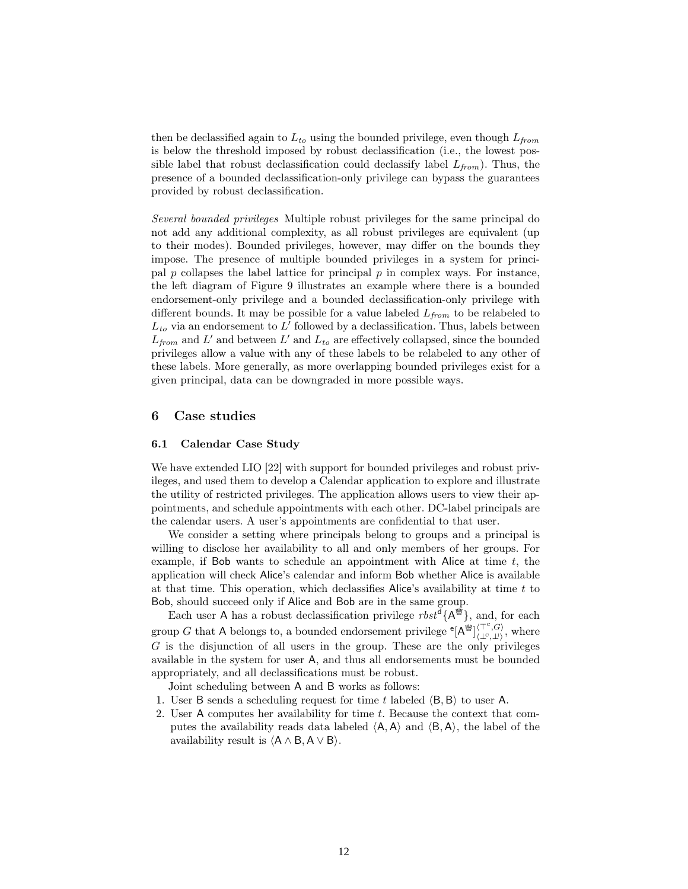then be declassified again to *Lto* using the bounded privilege, even though *Lfrom* is below the threshold imposed by robust declassification (i.e., the lowest possible label that robust declassification could declassify label *Lfrom*). Thus, the presence of a bounded declassification-only privilege can bypass the guarantees provided by robust declassification.

*Several bounded privileges* Multiple robust privileges for the same principal do not add any additional complexity, as all robust privileges are equivalent (up to their modes). Bounded privileges, however, may differ on the bounds they impose. The presence of multiple bounded privileges in a system for principal *p* collapses the label lattice for principal *p* in complex ways. For instance, the left diagram of Figure [9](#page-9-2) illustrates an example where there is a bounded endorsement-only privilege and a bounded declassification-only privilege with different bounds. It may be possible for a value labeled *Lfrom* to be relabeled to  $L_{to}$  via an endorsement to  $L'$  followed by a declassification. Thus, labels between  $L_{from}$  and  $L'$  and between  $L'$  and  $L_{to}$  are effectively collapsed, since the bounded privileges allow a value with any of these labels to be relabeled to any other of these labels. More generally, as more overlapping bounded privileges exist for a given principal, data can be downgraded in more possible ways.

### <span id="page-11-0"></span>6 Case studies

#### 6.1 Calendar Case Study

We have extended LIO [\[22\]](#page-15-8) with support for bounded privileges and robust privileges, and used them to develop a Calendar application to explore and illustrate the utility of restricted privileges. The application allows users to view their appointments, and schedule appointments with each other. DC-label principals are the calendar users. A user's appointments are confidential to that user.

We consider a setting where principals belong to groups and a principal is willing to disclose her availability to all and only members of her groups. For example, if Bob wants to schedule an appointment with Alice at time *t*, the application will check Alice's calendar and inform Bob whether Alice is available at that time. This operation, which declassifies Alice's availability at time *t* to Bob, should succeed only if Alice and Bob are in the same group.

Each user A has a robust declassification privilege  $rbst^d\{A^{\mathscr{B}}\}\$ , and, for each group *G* that A belongs to, a bounded endorsement privilege  $e[A^{\mathscr{B}}]_{\{L^c,\perp\}}^{\langle T^c,G\rangle}$ , where *G* is the disjunction of all users in the group. These are the only privileges available in the system for user A, and thus all endorsements must be bounded appropriately, and all declassifications must be robust.

Joint scheduling between A and B works as follows:

- 1. User B sends a scheduling request for time  $t$  labeled  $\langle B, B \rangle$  to user A.
- 2. User A computes her availability for time *t*. Because the context that computes the availability reads data labeled  $\langle A, A \rangle$  and  $\langle B, A \rangle$ , the label of the availability result is  $\langle A \wedge B, A \vee B \rangle$ .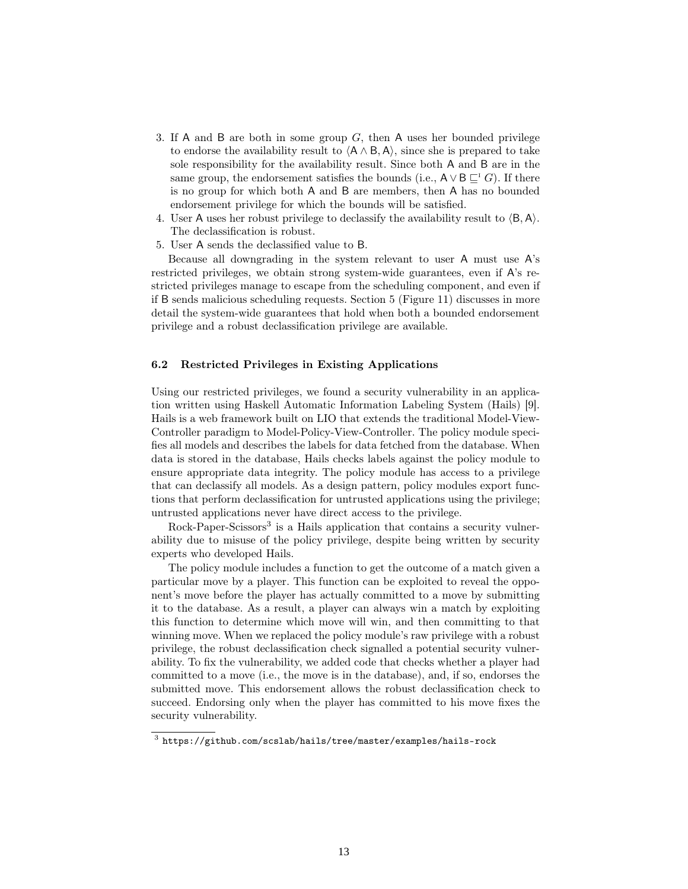- 3. If A and B are both in some group *G*, then A uses her bounded privilege to endorse the availability result to  $\langle A \wedge B, A \rangle$ , since she is prepared to take sole responsibility for the availability result. Since both A and B are in the same group, the endorsement satisfies the bounds (i.e.,  $A \vee B \sqsubseteq^{\mathsf{r}} G$ ). If there is no group for which both A and B are members, then A has no bounded endorsement privilege for which the bounds will be satisfied.
- 4. User A uses her robust privilege to declassify the availability result to  $\langle B, A \rangle$ . The declassification is robust.
- 5. User A sends the declassified value to B.

Because all downgrading in the system relevant to user A must use A's restricted privileges, we obtain strong system-wide guarantees, even if A's restricted privileges manage to escape from the scheduling component, and even if if B sends malicious scheduling requests. Section [5](#page-9-0) (Figure [11\)](#page-10-1) discusses in more detail the system-wide guarantees that hold when both a bounded endorsement privilege and a robust declassification privilege are available.

#### 6.2 Restricted Privileges in Existing Applications

Using our restricted privileges, we found a security vulnerability in an application written using Haskell Automatic Information Labeling System (Hails) [\[9\]](#page-15-0). Hails is a web framework built on LIO that extends the traditional Model-View-Controller paradigm to Model-Policy-View-Controller. The policy module specifies all models and describes the labels for data fetched from the database. When data is stored in the database, Hails checks labels against the policy module to ensure appropriate data integrity. The policy module has access to a privilege that can declassify all models. As a design pattern, policy modules export functions that perform declassification for untrusted applications using the privilege; untrusted applications never have direct access to the privilege.

Rock-Paper-Scissors<sup>[3](#page-12-0)</sup> is a Hails application that contains a security vulnerability due to misuse of the policy privilege, despite being written by security experts who developed Hails.

The policy module includes a function to get the outcome of a match given a particular move by a player. This function can be exploited to reveal the opponent's move before the player has actually committed to a move by submitting it to the database. As a result, a player can always win a match by exploiting this function to determine which move will win, and then committing to that winning move. When we replaced the policy module's raw privilege with a robust privilege, the robust declassification check signalled a potential security vulnerability. To fix the vulnerability, we added code that checks whether a player had committed to a move (i.e., the move is in the database), and, if so, endorses the submitted move. This endorsement allows the robust declassification check to succeed. Endorsing only when the player has committed to his move fixes the security vulnerability.

<span id="page-12-0"></span> $3$  <https://github.com/scslab/hails/tree/master/examples/hails-rock>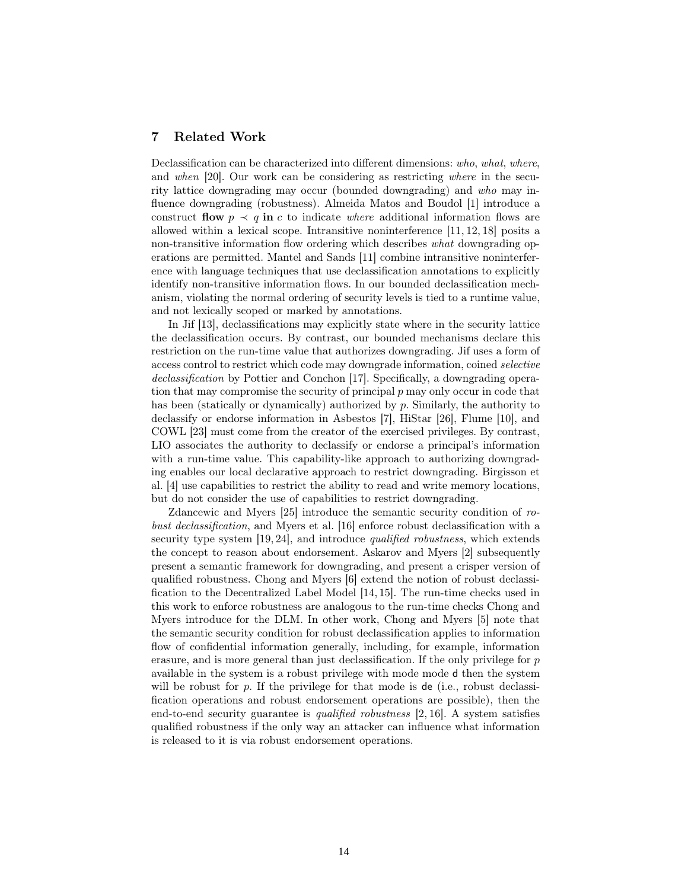# <span id="page-13-0"></span>7 Related Work

Declassification can be characterized into different dimensions: *who*, *what*, *where*, and *when* [\[20\]](#page-15-9). Our work can be considering as restricting *where* in the security lattice downgrading may occur (bounded downgrading) and *who* may influence downgrading (robustness). Almeida Matos and Boudol [\[1\]](#page-14-3) introduce a construct flow  $p \prec q$  in c to indicate *where* additional information flows are allowed within a lexical scope. Intransitive noninterference [\[11,](#page-15-10) [12,](#page-15-11) [18\]](#page-15-12) posits a non-transitive information flow ordering which describes *what* downgrading operations are permitted. Mantel and Sands [\[11\]](#page-15-10) combine intransitive noninterference with language techniques that use declassification annotations to explicitly identify non-transitive information flows. In our bounded declassification mechanism, violating the normal ordering of security levels is tied to a runtime value, and not lexically scoped or marked by annotations.

In Jif [\[13\]](#page-15-13), declassifications may explicitly state where in the security lattice the declassification occurs. By contrast, our bounded mechanisms declare this restriction on the run-time value that authorizes downgrading. Jif uses a form of access control to restrict which code may downgrade information, coined *selective declassification* by Pottier and Conchon [\[17\]](#page-15-14). Specifically, a downgrading operation that may compromise the security of principal *p* may only occur in code that has been (statically or dynamically) authorized by *p*. Similarly, the authority to declassify or endorse information in Asbestos [\[7\]](#page-14-4), HiStar [\[26\]](#page-15-4), Flume [\[10\]](#page-15-1), and COWL [\[23\]](#page-15-3) must come from the creator of the exercised privileges. By contrast, LIO associates the authority to declassify or endorse a principal's information with a run-time value. This capability-like approach to authorizing downgrading enables our local declarative approach to restrict downgrading. Birgisson et al. [\[4\]](#page-14-5) use capabilities to restrict the ability to read and write memory locations, but do not consider the use of capabilities to restrict downgrading.

Zdancewic and Myers [\[25\]](#page-15-6) introduce the semantic security condition of *robust declassification*, and Myers et al. [\[16\]](#page-15-5) enforce robust declassification with a security type system [\[19,](#page-15-2) [24\]](#page-15-15), and introduce *qualified robustness*, which extends the concept to reason about endorsement. Askarov and Myers [\[2\]](#page-14-6) subsequently present a semantic framework for downgrading, and present a crisper version of qualified robustness. Chong and Myers [\[6\]](#page-14-2) extend the notion of robust declassification to the Decentralized Label Model [\[14,](#page-15-16) [15\]](#page-15-17). The run-time checks used in this work to enforce robustness are analogous to the run-time checks Chong and Myers introduce for the DLM. In other work, Chong and Myers [\[5\]](#page-14-7) note that the semantic security condition for robust declassification applies to information flow of confidential information generally, including, for example, information erasure, and is more general than just declassification. If the only privilege for *p* available in the system is a robust privilege with mode mode d then the system will be robust for p. If the privilege for that mode is **de** (i.e., robust declassification operations and robust endorsement operations are possible), then the end-to-end security guarantee is *qualified robustness* [\[2,](#page-14-6) [16\]](#page-15-5). A system satisfies qualified robustness if the only way an attacker can influence what information is released to it is via robust endorsement operations.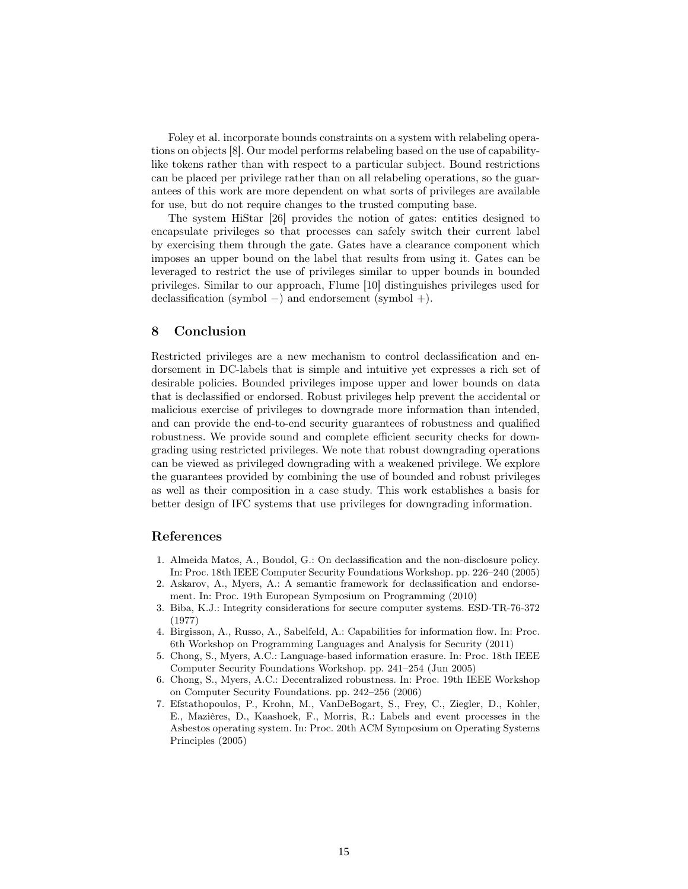Foley et al. incorporate bounds constraints on a system with relabeling operations on objects [\[8\]](#page-15-18). Our model performs relabeling based on the use of capabilitylike tokens rather than with respect to a particular subject. Bound restrictions can be placed per privilege rather than on all relabeling operations, so the guarantees of this work are more dependent on what sorts of privileges are available for use, but do not require changes to the trusted computing base.

The system HiStar [\[26\]](#page-15-4) provides the notion of gates: entities designed to encapsulate privileges so that processes can safely switch their current label by exercising them through the gate. Gates have a clearance component which imposes an upper bound on the label that results from using it. Gates can be leveraged to restrict the use of privileges similar to upper bounds in bounded privileges. Similar to our approach, Flume [\[10\]](#page-15-1) distinguishes privileges used for declassification (symbol  $-)$  and endorsement (symbol  $+)$ .

# <span id="page-14-0"></span>8 Conclusion

Restricted privileges are a new mechanism to control declassification and endorsement in DC-labels that is simple and intuitive yet expresses a rich set of desirable policies. Bounded privileges impose upper and lower bounds on data that is declassified or endorsed. Robust privileges help prevent the accidental or malicious exercise of privileges to downgrade more information than intended, and can provide the end-to-end security guarantees of robustness and qualified robustness. We provide sound and complete efficient security checks for downgrading using restricted privileges. We note that robust downgrading operations can be viewed as privileged downgrading with a weakened privilege. We explore the guarantees provided by combining the use of bounded and robust privileges as well as their composition in a case study. This work establishes a basis for better design of IFC systems that use privileges for downgrading information.

# References

- <span id="page-14-3"></span>1. Almeida Matos, A., Boudol, G.: On declassification and the non-disclosure policy. In: Proc. 18th IEEE Computer Security Foundations Workshop. pp. 226–240 (2005)
- <span id="page-14-6"></span>2. Askarov, A., Myers, A.: A semantic framework for declassification and endorsement. In: Proc. 19th European Symposium on Programming (2010)
- <span id="page-14-1"></span>3. Biba, K.J.: Integrity considerations for secure computer systems. ESD-TR-76-372 (1977)
- <span id="page-14-5"></span>4. Birgisson, A., Russo, A., Sabelfeld, A.: Capabilities for information flow. In: Proc. 6th Workshop on Programming Languages and Analysis for Security (2011)
- <span id="page-14-7"></span>5. Chong, S., Myers, A.C.: Language-based information erasure. In: Proc. 18th IEEE Computer Security Foundations Workshop. pp. 241–254 (Jun 2005)
- <span id="page-14-2"></span>6. Chong, S., Myers, A.C.: Decentralized robustness. In: Proc. 19th IEEE Workshop on Computer Security Foundations. pp. 242–256 (2006)
- <span id="page-14-4"></span>7. Efstathopoulos, P., Krohn, M., VanDeBogart, S., Frey, C., Ziegler, D., Kohler, E., Mazières, D., Kaashoek, F., Morris, R.: Labels and event processes in the Asbestos operating system. In: Proc. 20th ACM Symposium on Operating Systems Principles (2005)